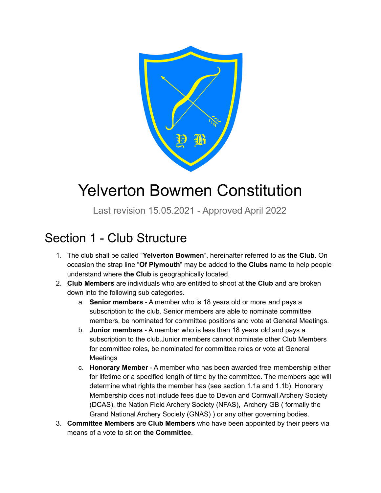

# Yelverton Bowmen Constitution

Last revision 15.05.2021 - Approved April 2022

## Section 1 - Club Structure

- 1. The club shall be called "**Yelverton Bowmen**", hereinafter referred to as **the Club**. On occasion the strap line "**Of Plymouth**" may be added to t**he Clubs** name to help people understand where **the Club** is geographically located.
- 2. **Club Members** are individuals who are entitled to shoot at **the Club** and are broken down into the following sub categories.
	- a. **Senior members** A member who is 18 years old or more and pays a subscription to the club. Senior members are able to nominate committee members, be nominated for committee positions and vote at General Meetings.
	- b. **Junior members** A member who is less than 18 years old and pays a subscription to the club.Junior members cannot nominate other Club Members for committee roles, be nominated for committee roles or vote at General Meetings
	- c. **Honorary Member** A member who has been awarded free membership either for lifetime or a specified length of time by the committee. The members age will determine what rights the member has (see section 1.1a and 1.1b). Honorary Membership does not include fees due to Devon and Cornwall Archery Society (DCAS), the Nation Field Archery Society (NFAS), Archery GB ( formally the Grand National Archery Society (GNAS) ) or any other governing bodies.
- 3. **Committee Members** are **Club Members** who have been appointed by their peers via means of a vote to sit on **the Committee**.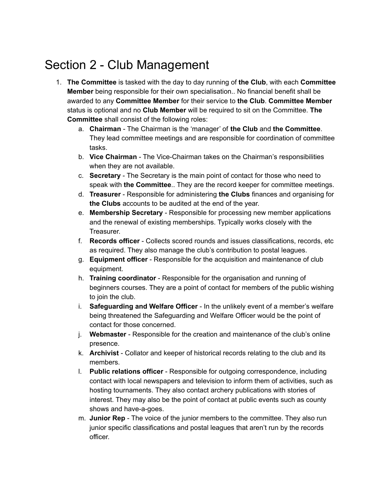# Section 2 - Club Management

- 1. **The Committee** is tasked with the day to day running of **the Club**, with each **Committee Member** being responsible for their own specialisation.. No financial benefit shall be awarded to any **Committee Member** for their service to **the Club**. **Committee Member** status is optional and no **Club Member** will be required to sit on the Committee. **The Committee** shall consist of the following roles:
	- a. **Chairman** The Chairman is the 'manager' of **the Club** and **the Committee**. They lead committee meetings and are responsible for coordination of committee tasks.
	- b. **Vice Chairman** The Vice-Chairman takes on the Chairman's responsibilities when they are not available.
	- c. **Secretary** The Secretary is the main point of contact for those who need to speak with **the Committee**.. They are the record keeper for committee meetings.
	- d. **Treasurer** Responsible for administering **the Clubs** finances and organising for **the Clubs** accounts to be audited at the end of the year.
	- e. **Membership Secretary** Responsible for processing new member applications and the renewal of existing memberships. Typically works closely with the Treasurer.
	- f. **Records officer** Collects scored rounds and issues classifications, records, etc as required. They also manage the club's contribution to postal leagues.
	- g. **Equipment officer** Responsible for the acquisition and maintenance of club equipment.
	- h. **Training coordinator** Responsible for the organisation and running of beginners courses. They are a point of contact for members of the public wishing to join the club.
	- i. **Safeguarding and Welfare Officer** In the unlikely event of a member's welfare being threatened the Safeguarding and Welfare Officer would be the point of contact for those concerned.
	- j. **Webmaster** Responsible for the creation and maintenance of the club's online presence.
	- k. **Archivist** Collator and keeper of historical records relating to the club and its members.
	- l. **Public relations officer** Responsible for outgoing correspondence, including contact with local newspapers and television to inform them of activities, such as hosting tournaments. They also contact archery publications with stories of interest. They may also be the point of contact at public events such as county shows and have-a-goes.
	- m. **Junior Rep** The voice of the junior members to the committee. They also run junior specific classifications and postal leagues that aren't run by the records officer.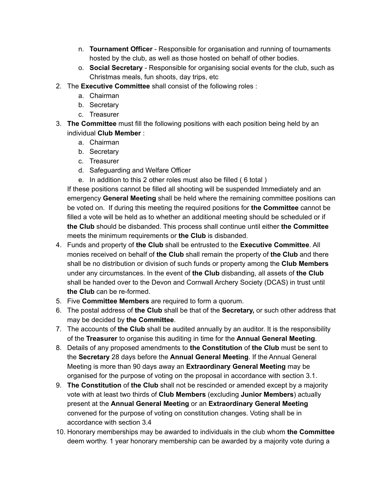- n. **Tournament Officer** Responsible for organisation and running of tournaments hosted by the club, as well as those hosted on behalf of other bodies.
- o. **Social Secretary** Responsible for organising social events for the club, such as Christmas meals, fun shoots, day trips, etc
- 2. The **Executive Committee** shall consist of the following roles :
	- a. Chairman
	- b. Secretary
	- c. Treasurer
- 3. **The Committee** must fill the following positions with each position being held by an individual **Club Member** :
	- a. Chairman
	- b. Secretary
	- c. Treasurer
	- d. Safeguarding and Welfare Officer
	- e. In addition to this 2 other roles must also be filled ( 6 total )

If these positions cannot be filled all shooting will be suspended Immediately and an emergency **General Meeting** shall be held where the remaining committee positions can be voted on. If during this meeting the required positions for **the Committee** cannot be filled a vote will be held as to whether an additional meeting should be scheduled or if **the Club** should be disbanded. This process shall continue until either **the Committee** meets the minimum requirements or **the Club** is disbanded.

- 4. Funds and property of **the Club** shall be entrusted to the **Executive Committee**. All monies received on behalf of **the Club** shall remain the property of **the Club** and there shall be no distribution or division of such funds or property among the **Club Members** under any circumstances. In the event of **the Club** disbanding, all assets of **the Club** shall be handed over to the Devon and Cornwall Archery Society (DCAS) in trust until **the Club** can be re-formed.
- 5. Five **Committee Members** are required to form a quorum.
- 6. The postal address of **the Club** shall be that of the **Secretary,** or such other address that may be decided by **the Committee**.
- 7. The accounts of **the Club** shall be audited annually by an auditor. It is the responsibility of the **Treasurer** to organise this auditing in time for the **Annual General Meeting**.
- 8. Details of any proposed amendments to **the Constitution** of **the Club** must be sent to the **Secretary** 28 days before the **Annual General Meeting**. If the Annual General Meeting is more than 90 days away an **Extraordinary General Meeting** may be organised for the purpose of voting on the proposal in accordance with section 3.1.
- 9. **The Constitution** of **the Club** shall not be rescinded or amended except by a majority vote with at least two thirds of **Club Members** (excluding **Junior Members**) actually present at the **Annual General Meeting** or an **Extraordinary General Meeting** convened for the purpose of voting on constitution changes. Voting shall be in accordance with section 3.4
- 10. Honorary memberships may be awarded to individuals in the club whom **the Committee** deem worthy. 1 year honorary membership can be awarded by a majority vote during a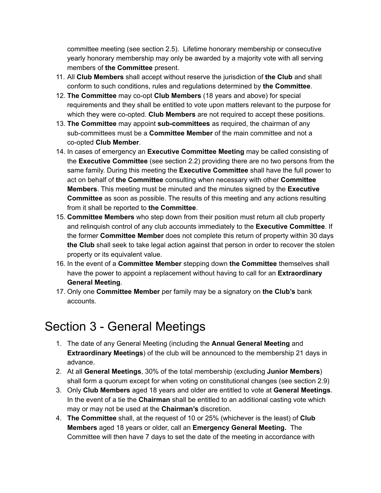committee meeting (see section 2.5). Lifetime honorary membership or consecutive yearly honorary membership may only be awarded by a majority vote with all serving members of **the Committee** present.

- 11. All **Club Members** shall accept without reserve the jurisdiction of **the Club** and shall conform to such conditions, rules and regulations determined by **the Committee**.
- 12. **The Committee** may co-opt **Club Members** (18 years and above) for special requirements and they shall be entitled to vote upon matters relevant to the purpose for which they were co-opted. **Club Members** are not required to accept these positions.
- 13. **The Committee** may appoint **sub-committees** as required, the chairman of any sub-committees must be a **Committee Member** of the main committee and not a co-opted **Club Member**.
- 14. In cases of emergency an **Executive Committee Meeting** may be called consisting of the **Executive Committee** (see section 2.2) providing there are no two persons from the same family. During this meeting the **Executive Committee** shall have the full power to act on behalf of **the Committee** consulting when necessary with other **Committee Members**. This meeting must be minuted and the minutes signed by the **Executive Committee** as soon as possible. The results of this meeting and any actions resulting from it shall be reported to **the Committee**.
- 15. **Committee Members** who step down from their position must return all club property and relinquish control of any club accounts immediately to the **Executive Committee**. If the former **Committee Member** does not complete this return of property within 30 days **the Club** shall seek to take legal action against that person in order to recover the stolen property or its equivalent value.
- 16. In the event of a **Committee Member** stepping down **the Committee** themselves shall have the power to appoint a replacement without having to call for an **Extraordinary General Meeting**.
- 17. Only one **Committee Member** per family may be a signatory on **the Club's** bank accounts.

### Section 3 - General Meetings

- 1. The date of any General Meeting (including the **Annual General Meeting** and **Extraordinary Meetings**) of the club will be announced to the membership 21 days in advance.
- 2. At all **General Meetings**, 30% of the total membership (excluding **Junior Members**) shall form a quorum except for when voting on constitutional changes (see section 2.9)
- 3. Only **Club Members** aged 18 years and older are entitled to vote at **General Meetings**. In the event of a tie the **Chairman** shall be entitled to an additional casting vote which may or may not be used at the **Chairman's** discretion.
- 4. **The Committee** shall, at the request of 10 or 25% (whichever is the least) of **Club Members** aged 18 years or older, call an **Emergency General Meeting.** The Committee will then have 7 days to set the date of the meeting in accordance with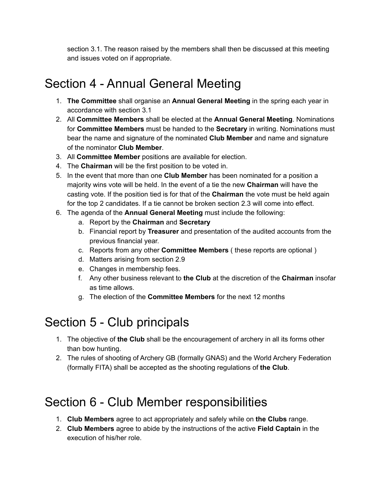section 3.1. The reason raised by the members shall then be discussed at this meeting and issues voted on if appropriate.

# Section 4 - Annual General Meeting

- 1. **The Committee** shall organise an **Annual General Meeting** in the spring each year in accordance with section 3.1
- 2. All **Committee Members** shall be elected at the **Annual General Meeting**. Nominations for **Committee Members** must be handed to the **Secretary** in writing. Nominations must bear the name and signature of the nominated **Club Member** and name and signature of the nominator **Club Member**.
- 3. All **Committee Member** positions are available for election.
- 4. The **Chairman** will be the first position to be voted in.
- 5. In the event that more than one **Club Member** has been nominated for a position a majority wins vote will be held. In the event of a tie the new **Chairman** will have the casting vote. If the position tied is for that of the **Chairman** the vote must be held again for the top 2 candidates. If a tie cannot be broken section 2.3 will come into effect.
- 6. The agenda of the **Annual General Meeting** must include the following:
	- a. Report by the **Chairman** and **Secretary**
	- b. Financial report by **Treasurer** and presentation of the audited accounts from the previous financial year.
	- c. Reports from any other **Committee Members** ( these reports are optional )
	- d. Matters arising from section 2.9
	- e. Changes in membership fees.
	- f. Any other business relevant to **the Club** at the discretion of the **Chairman** insofar as time allows.
	- g. The election of the **Committee Members** for the next 12 months

### Section 5 - Club principals

- 1. The objective of **the Club** shall be the encouragement of archery in all its forms other than bow hunting.
- 2. The rules of shooting of Archery GB (formally GNAS) and the World Archery Federation (formally FITA) shall be accepted as the shooting regulations of **the Club**.

# Section 6 - Club Member responsibilities

- 1. **Club Members** agree to act appropriately and safely while on **the Clubs** range.
- 2. **Club Members** agree to abide by the instructions of the active **Field Captain** in the execution of his/her role.